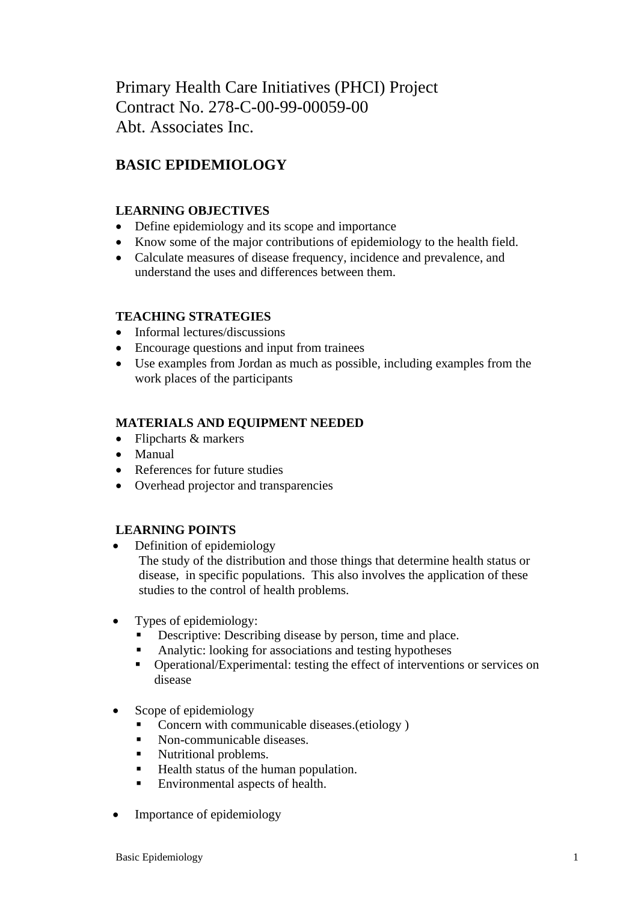Primary Health Care Initiatives (PHCI) Project Contract No. 278-C-00-99-00059-00 Abt. Associates Inc.

# **BASIC EPIDEMIOLOGY**

## **LEARNING OBJECTIVES**

- Define epidemiology and its scope and importance
- Know some of the major contributions of epidemiology to the health field.
- Calculate measures of disease frequency, incidence and prevalence, and understand the uses and differences between them.

# **TEACHING STRATEGIES**

- Informal lectures/discussions
- Encourage questions and input from trainees
- Use examples from Jordan as much as possible, including examples from the work places of the participants

# **MATERIALS AND EQUIPMENT NEEDED**

- Flipcharts & markers
- Manual
- References for future studies
- Overhead projector and transparencies

# **LEARNING POINTS**

- Definition of epidemiology The study of the distribution and those things that determine health status or disease, in specific populations. This also involves the application of these studies to the control of health problems.
- Types of epidemiology:
	- Descriptive: Describing disease by person, time and place.
	- Analytic: looking for associations and testing hypotheses
	- Operational/Experimental: testing the effect of interventions or services on disease
- Scope of epidemiology
	- Concern with communicable diseases.(etiology )
	- Non-communicable diseases.
	- Nutritional problems.
	- Health status of the human population.
	- Environmental aspects of health.
- Importance of epidemiology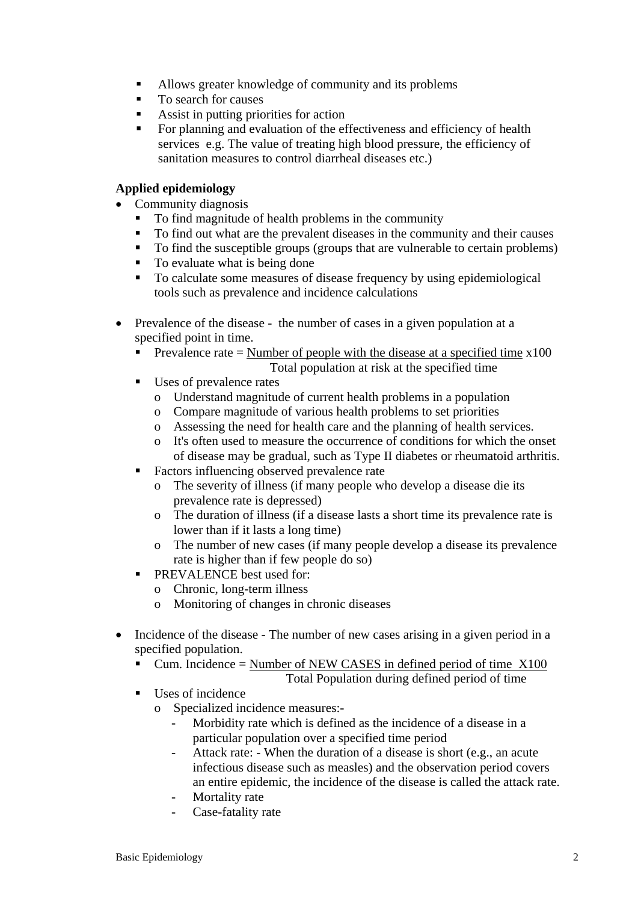- Allows greater knowledge of community and its problems
- To search for causes
- Assist in putting priorities for action
- For planning and evaluation of the effectiveness and efficiency of health services e.g. The value of treating high blood pressure, the efficiency of sanitation measures to control diarrheal diseases etc.)

### **Applied epidemiology**

- Community diagnosis
	- To find magnitude of health problems in the community
	- To find out what are the prevalent diseases in the community and their causes
	- To find the susceptible groups (groups that are vulnerable to certain problems)
	- To evaluate what is being done
	- To calculate some measures of disease frequency by using epidemiological tools such as prevalence and incidence calculations
- Prevalence of the disease the number of cases in a given population at a specified point in time.
	- Prevalence rate = Number of people with the disease at a specified time  $x100$ Total population at risk at the specified time
	- Uses of prevalence rates
		- o Understand magnitude of current health problems in a population
		- o Compare magnitude of various health problems to set priorities
		- o Assessing the need for health care and the planning of health services.
		- o It's often used to measure the occurrence of conditions for which the onset of disease may be gradual, such as Type II diabetes or rheumatoid arthritis.
	- Factors influencing observed prevalence rate
		- o The severity of illness (if many people who develop a disease die its prevalence rate is depressed)
		- o The duration of illness (if a disease lasts a short time its prevalence rate is lower than if it lasts a long time)
		- o The number of new cases (if many people develop a disease its prevalence rate is higher than if few people do so)
	- **PREVALENCE** best used for:
		- o Chronic, long-term illness
		- o Monitoring of changes in chronic diseases
- Incidence of the disease The number of new cases arising in a given period in a specified population.
	- Cum. Incidence = Number of NEW CASES in defined period of time  $X100$ Total Population during defined period of time
	- Uses of incidence
		- o Specialized incidence measures:-
			- Morbidity rate which is defined as the incidence of a disease in a particular population over a specified time period
			- Attack rate: When the duration of a disease is short (e.g., an acute infectious disease such as measles) and the observation period covers an entire epidemic, the incidence of the disease is called the attack rate.
			- Mortality rate
			- Case-fatality rate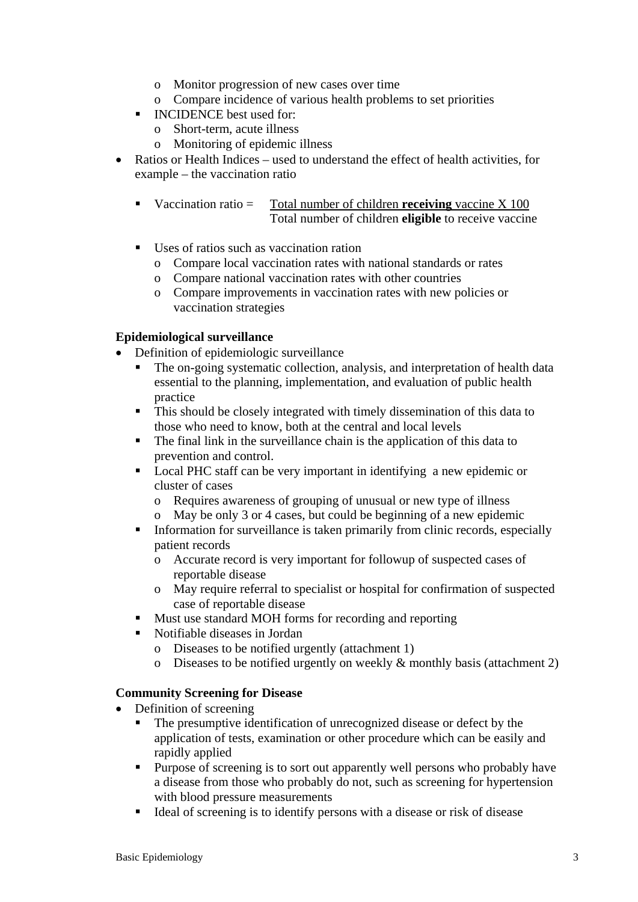- o Monitor progression of new cases over time
- o Compare incidence of various health problems to set priorities
- **INCIDENCE** best used for:
	- o Short-term, acute illness
	- o Monitoring of epidemic illness
- Ratios or Health Indices used to understand the effect of health activities, for example – the vaccination ratio
	- Vaccination ratio = Total number of children **receiving** vaccine X 100 Total number of children **eligible** to receive vaccine
	- Uses of ratios such as vaccination ration
		- o Compare local vaccination rates with national standards or rates
		- o Compare national vaccination rates with other countries
		- o Compare improvements in vaccination rates with new policies or vaccination strategies

### **Epidemiological surveillance**

- Definition of epidemiologic surveillance
	- The on-going systematic collection, analysis, and interpretation of health data essential to the planning, implementation, and evaluation of public health practice
	- This should be closely integrated with timely dissemination of this data to those who need to know, both at the central and local levels
	- The final link in the surveillance chain is the application of this data to prevention and control.
	- Local PHC staff can be very important in identifying a new epidemic or cluster of cases
		- o Requires awareness of grouping of unusual or new type of illness
		- o May be only 3 or 4 cases, but could be beginning of a new epidemic
	- Information for surveillance is taken primarily from clinic records, especially patient records
		- o Accurate record is very important for followup of suspected cases of reportable disease
		- o May require referral to specialist or hospital for confirmation of suspected case of reportable disease
	- **Must use standard MOH forms for recording and reporting**
	- Notifiable diseases in Jordan
		- o Diseases to be notified urgently (attachment 1)
		- o Diseases to be notified urgently on weekly & monthly basis (attachment 2)

### **Community Screening for Disease**

- Definition of screening
	- The presumptive identification of unrecognized disease or defect by the application of tests, examination or other procedure which can be easily and rapidly applied
	- **Purpose of screening is to sort out apparently well persons who probably have** a disease from those who probably do not, such as screening for hypertension with blood pressure measurements
	- Ideal of screening is to identify persons with a disease or risk of disease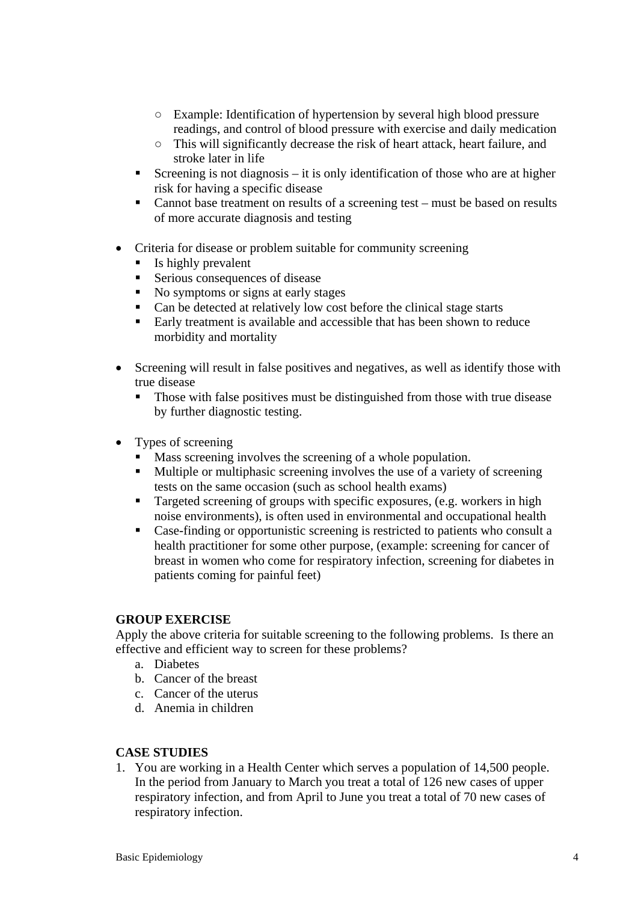- Example: Identification of hypertension by several high blood pressure readings, and control of blood pressure with exercise and daily medication
- This will significantly decrease the risk of heart attack, heart failure, and stroke later in life
- Screening is not diagnosis it is only identification of those who are at higher risk for having a specific disease
- Cannot base treatment on results of a screening test must be based on results of more accurate diagnosis and testing
- Criteria for disease or problem suitable for community screening
	- Is highly prevalent
	- Serious consequences of disease
	- No symptoms or signs at early stages
	- Can be detected at relatively low cost before the clinical stage starts
	- Early treatment is available and accessible that has been shown to reduce morbidity and mortality
- Screening will result in false positives and negatives, as well as identify those with true disease
	- Those with false positives must be distinguished from those with true disease by further diagnostic testing.
- Types of screening
	- Mass screening involves the screening of a whole population.
	- Multiple or multiphasic screening involves the use of a variety of screening tests on the same occasion (such as school health exams)
	- **Targeted screening of groups with specific exposures, (e.g. workers in high** noise environments), is often used in environmental and occupational health
	- Case-finding or opportunistic screening is restricted to patients who consult a health practitioner for some other purpose, (example: screening for cancer of breast in women who come for respiratory infection, screening for diabetes in patients coming for painful feet)

### **GROUP EXERCISE**

Apply the above criteria for suitable screening to the following problems. Is there an effective and efficient way to screen for these problems?

- a. Diabetes
- b. Cancer of the breast
- c. Cancer of the uterus
- d. Anemia in children

### **CASE STUDIES**

1. You are working in a Health Center which serves a population of 14,500 people. In the period from January to March you treat a total of 126 new cases of upper respiratory infection, and from April to June you treat a total of 70 new cases of respiratory infection.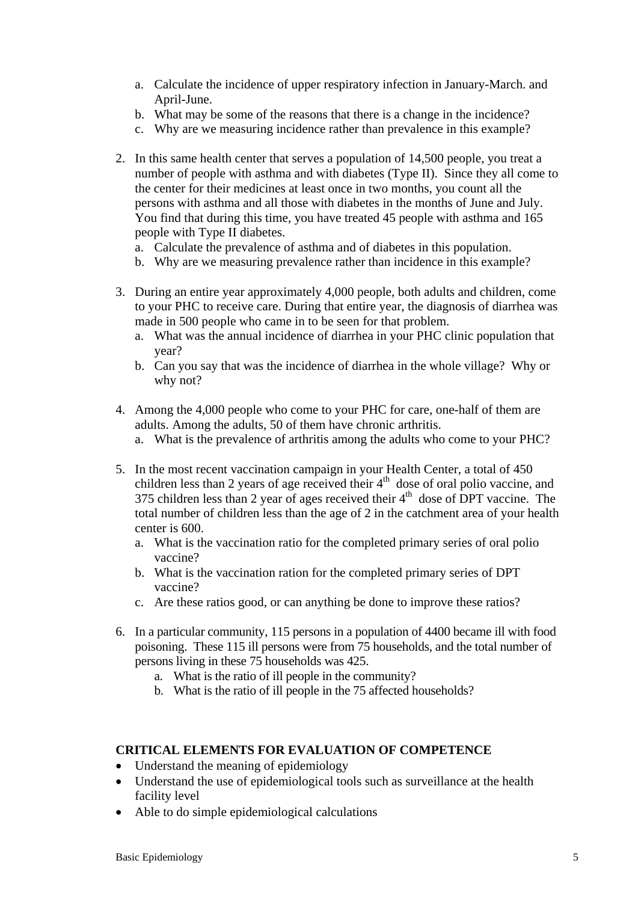- a. Calculate the incidence of upper respiratory infection in January-March. and April-June.
- b. What may be some of the reasons that there is a change in the incidence?
- c. Why are we measuring incidence rather than prevalence in this example?
- 2. In this same health center that serves a population of 14,500 people, you treat a number of people with asthma and with diabetes (Type II). Since they all come to the center for their medicines at least once in two months, you count all the persons with asthma and all those with diabetes in the months of June and July. You find that during this time, you have treated 45 people with asthma and 165 people with Type II diabetes.
	- a. Calculate the prevalence of asthma and of diabetes in this population.
	- b. Why are we measuring prevalence rather than incidence in this example?
- 3. During an entire year approximately 4,000 people, both adults and children, come to your PHC to receive care. During that entire year, the diagnosis of diarrhea was made in 500 people who came in to be seen for that problem.
	- a. What was the annual incidence of diarrhea in your PHC clinic population that year?
	- b. Can you say that was the incidence of diarrhea in the whole village? Why or why not?
- 4. Among the 4,000 people who come to your PHC for care, one-half of them are adults. Among the adults, 50 of them have chronic arthritis.
	- a. What is the prevalence of arthritis among the adults who come to your PHC?
- 5. In the most recent vaccination campaign in your Health Center, a total of 450 children less than 2 years of age received their  $4<sup>th</sup>$  dose of oral polio vaccine, and 375 children less than 2 year of ages received their  $4<sup>th</sup>$  dose of DPT vaccine. The total number of children less than the age of 2 in the catchment area of your health center is 600.
	- a. What is the vaccination ratio for the completed primary series of oral polio vaccine?
	- b. What is the vaccination ration for the completed primary series of DPT vaccine?
	- c. Are these ratios good, or can anything be done to improve these ratios?
- 6. In a particular community, 115 persons in a population of 4400 became ill with food poisoning. These 115 ill persons were from 75 households, and the total number of persons living in these 75 households was 425.
	- a. What is the ratio of ill people in the community?
	- b. What is the ratio of ill people in the 75 affected households?

### **CRITICAL ELEMENTS FOR EVALUATION OF COMPETENCE**

- Understand the meaning of epidemiology
- Understand the use of epidemiological tools such as surveillance at the health facility level
- Able to do simple epidemiological calculations